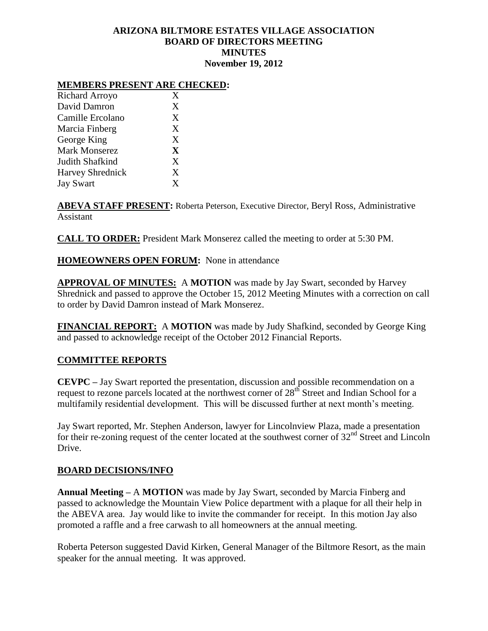# **ARIZONA BILTMORE ESTATES VILLAGE ASSOCIATION BOARD OF DIRECTORS MEETING MINUTES November 19, 2012**

#### **MEMBERS PRESENT ARE CHECKED:**

| <b>Richard Arroyo</b>   | X |
|-------------------------|---|
| David Damron            | X |
| Camille Ercolano        | X |
| Marcia Finberg          | X |
| George King             | X |
| <b>Mark Monserez</b>    | X |
| Judith Shafkind         | X |
| <b>Harvey Shrednick</b> | X |
| <b>Jay Swart</b>        | X |

**ABEVA STAFF PRESENT:** Roberta Peterson, Executive Director, Beryl Ross, Administrative Assistant

**CALL TO ORDER:** President Mark Monserez called the meeting to order at 5:30 PM.

## **HOMEOWNERS OPEN FORUM:** None in attendance

**APPROVAL OF MINUTES:** A **MOTION** was made by Jay Swart, seconded by Harvey Shrednick and passed to approve the October 15, 2012 Meeting Minutes with a correction on call to order by David Damron instead of Mark Monserez.

**FINANCIAL REPORT:** A **MOTION** was made by Judy Shafkind, seconded by George King and passed to acknowledge receipt of the October 2012 Financial Reports.

## **COMMITTEE REPORTS**

**CEVPC –** Jay Swart reported the presentation, discussion and possible recommendation on a request to rezone parcels located at the northwest corner of 28<sup>th</sup> Street and Indian School for a multifamily residential development. This will be discussed further at next month's meeting.

Jay Swart reported, Mr. Stephen Anderson, lawyer for Lincolnview Plaza, made a presentation for their re-zoning request of the center located at the southwest corner of  $32<sup>nd</sup>$  Street and Lincoln Drive.

#### **BOARD DECISIONS/INFO**

**Annual Meeting –** A **MOTION** was made by Jay Swart, seconded by Marcia Finberg and passed to acknowledge the Mountain View Police department with a plaque for all their help in the ABEVA area. Jay would like to invite the commander for receipt. In this motion Jay also promoted a raffle and a free carwash to all homeowners at the annual meeting.

Roberta Peterson suggested David Kirken, General Manager of the Biltmore Resort, as the main speaker for the annual meeting. It was approved.